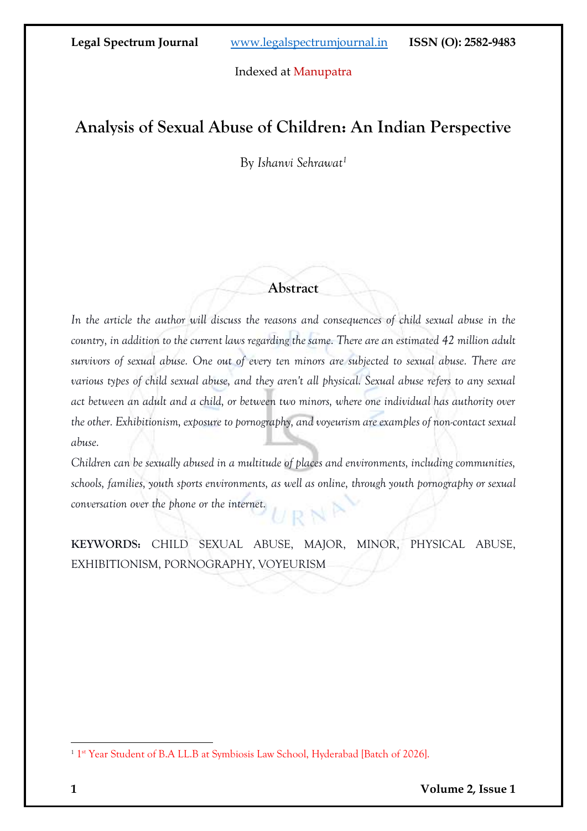Indexed at Manupatra

# **Analysis of Sexual Abuse of Children: An Indian Perspective**

By *Ishanvi Sehrawat<sup>1</sup>*

## **Abstract**

*In the article the author will discuss the reasons and consequences of child sexual abuse in the country, in addition to the current laws regarding the same. There are an estimated 42 million adult survivors of sexual abuse. One out of every ten minors are subjected to sexual abuse. There are various types of child sexual abuse, and they aren't all physical. Sexual abuse refers to any sexual act between an adult and a child, or between two minors, where one individual has authority over the other. Exhibitionism, exposure to pornography, and voyeurism are examples of non-contact sexual abuse.*

*Children can be sexually abused in a multitude of places and environments, including communities, schools, families, youth sports environments, as well as online, through youth pornography or sexual conversation over the phone or the internet.*

**KEYWORDS:** CHILD SEXUAL ABUSE, MAJOR, MINOR, PHYSICAL ABUSE, EXHIBITIONISM, PORNOGRAPHY, VOYEURISM

<sup>&</sup>lt;sup>1</sup> 1<sup>st</sup> Year Student of B.A LL.B at Symbiosis Law School, Hyderabad [Batch of 2026].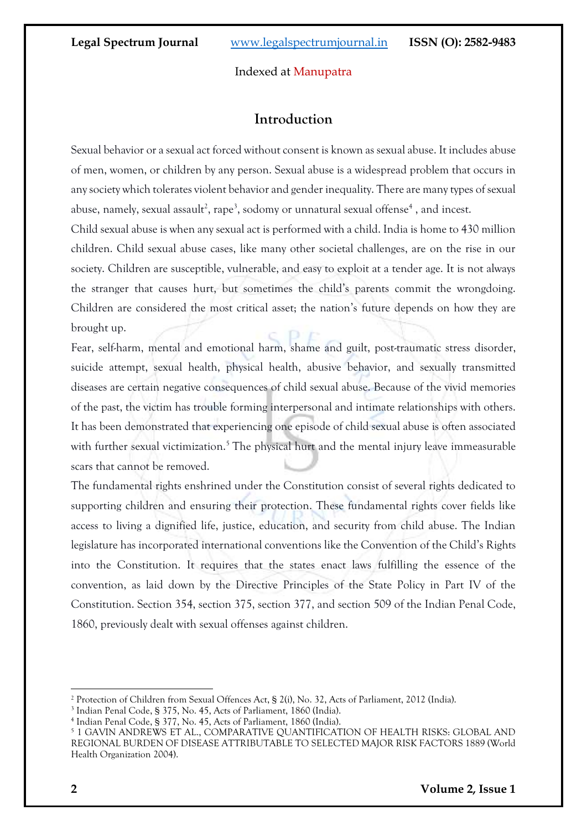## Indexed at Manupatra

## **Introduction**

Sexual behavior or a sexual act forced without consent is known as sexual abuse. It includes abuse of men, women, or children by any person. Sexual abuse is a widespread problem that occurs in any society which tolerates violent behavior and gender inequality. There are many types of sexual abuse, namely, sexual assault<sup>2</sup>, rape<sup>3</sup>, sodomy or unnatural sexual offense<sup>4</sup>, and incest.

Child sexual abuse is when any sexual act is performed with a child. India is home to 430 million children. Child sexual abuse cases, like many other societal challenges, are on the rise in our society. Children are susceptible, vulnerable, and easy to exploit at a tender age. It is not always the stranger that causes hurt, but sometimes the child's parents commit the wrongdoing. Children are considered the most critical asset; the nation's future depends on how they are brought up.

Fear, self-harm, mental and emotional harm, shame and guilt, post-traumatic stress disorder, suicide attempt, sexual health, physical health, abusive behavior, and sexually transmitted diseases are certain negative consequences of child sexual abuse. Because of the vivid memories of the past, the victim has trouble forming interpersonal and intimate relationships with others. It has been demonstrated that experiencing one episode of child sexual abuse is often associated with further sexual victimization.<sup>5</sup> The physical hurt and the mental injury leave immeasurable scars that cannot be removed.

The fundamental rights enshrined under the Constitution consist of several rights dedicated to supporting children and ensuring their protection. These fundamental rights cover fields like access to living a dignified life, justice, education, and security from child abuse. The Indian legislature has incorporated international conventions like the Convention of the Child's Rights into the Constitution. It requires that the states enact laws fulfilling the essence of the convention, as laid down by the Directive Principles of the State Policy in Part IV of the Constitution. Section 354, section 375, section 377, and section 509 of the Indian Penal Code, 1860, previously dealt with sexual offenses against children.

<sup>2</sup> Protection of Children from Sexual Offences Act, § 2(i), No. 32, Acts of Parliament, 2012 (India).

<sup>3</sup> Indian Penal Code, § 375, No. 45, Acts of Parliament, 1860 (India).

<sup>4</sup> Indian Penal Code, § 377, No. 45, Acts of Parliament, 1860 (India).

<sup>5</sup> 1 GAVIN ANDREWS ET AL., COMPARATIVE QUANTIFICATION OF HEALTH RISKS: GLOBAL AND REGIONAL BURDEN OF DISEASE ATTRIBUTABLE TO SELECTED MAJOR RISK FACTORS 1889 (World Health Organization 2004).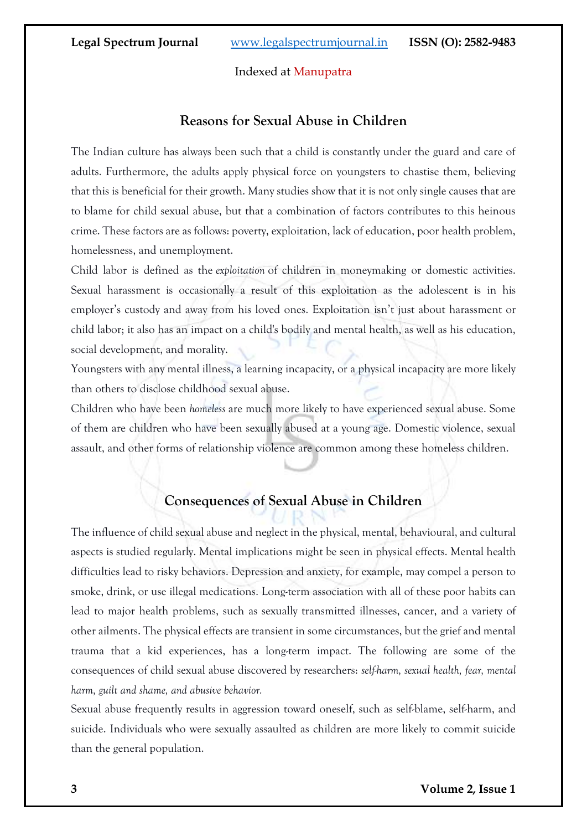## Indexed at Manupatra

## **Reasons for Sexual Abuse in Children**

The Indian culture has always been such that a child is constantly under the guard and care of adults. Furthermore, the adults apply physical force on youngsters to chastise them, believing that this is beneficial for their growth. Many studies show that it is not only single causes that are to blame for child sexual abuse, but that a combination of factors contributes to this heinous crime. These factors are as follows: poverty, exploitation, lack of education, poor health problem, homelessness, and unemployment.

Child labor is defined as the *exploitation* of children in moneymaking or domestic activities. Sexual harassment is occasionally a result of this exploitation as the adolescent is in his employer's custody and away from his loved ones. Exploitation isn't just about harassment or child labor; it also has an impact on a child's bodily and mental health, as well as his education, social development, and morality.

Youngsters with any mental illness, a learning incapacity, or a physical incapacity are more likely than others to disclose childhood sexual abuse.

Children who have been *homeless* are much more likely to have experienced sexual abuse. Some of them are children who have been sexually abused at a young age. Domestic violence, sexual assault, and other forms of relationship violence are common among these homeless children.

# **Consequences of Sexual Abuse in Children**

The influence of child sexual abuse and neglect in the physical, mental, behavioural, and cultural aspects is studied regularly. Mental implications might be seen in physical effects. Mental health difficulties lead to risky behaviors. Depression and anxiety, for example, may compel a person to smoke, drink, or use illegal medications. Long-term association with all of these poor habits can lead to major health problems, such as sexually transmitted illnesses, cancer, and a variety of other ailments. The physical effects are transient in some circumstances, but the grief and mental trauma that a kid experiences, has a long-term impact. The following are some of the consequences of child sexual abuse discovered by researchers: *self-harm, sexual health, fear, mental harm, guilt and shame, and abusive behavior.*

Sexual abuse frequently results in aggression toward oneself, such as self-blame, self-harm, and suicide. Individuals who were sexually assaulted as children are more likely to commit suicide than the general population.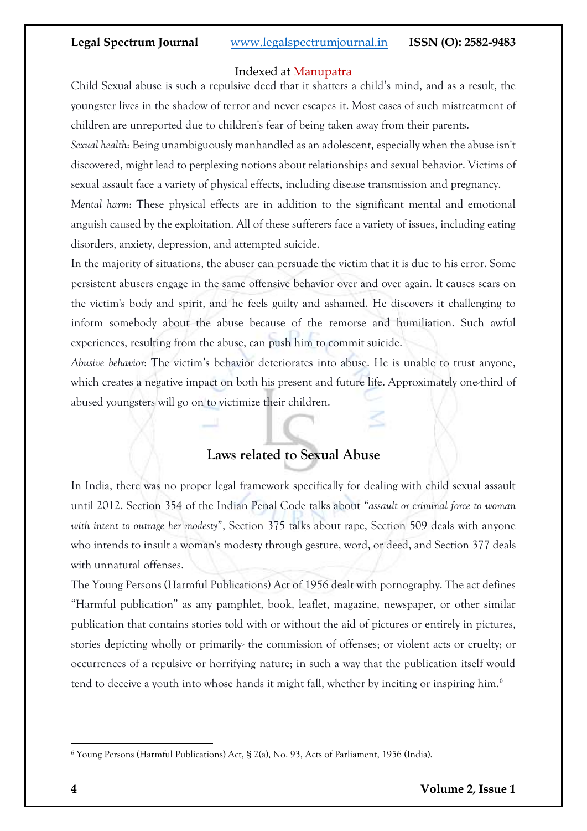## Indexed at Manupatra

Child Sexual abuse is such a repulsive deed that it shatters a child's mind, and as a result, the youngster lives in the shadow of terror and never escapes it. Most cases of such mistreatment of children are unreported due to children's fear of being taken away from their parents.

*Sexual health*: Being unambiguously manhandled as an adolescent, especially when the abuse isn't discovered, might lead to perplexing notions about relationships and sexual behavior. Victims of sexual assault face a variety of physical effects, including disease transmission and pregnancy.

*Mental harm*: These physical effects are in addition to the significant mental and emotional anguish caused by the exploitation. All of these sufferers face a variety of issues, including eating disorders, anxiety, depression, and attempted suicide.

In the majority of situations, the abuser can persuade the victim that it is due to his error. Some persistent abusers engage in the same offensive behavior over and over again. It causes scars on the victim's body and spirit, and he feels guilty and ashamed. He discovers it challenging to inform somebody about the abuse because of the remorse and humiliation. Such awful experiences, resulting from the abuse, can push him to commit suicide.

*Abusive behavior*: The victim's behavior deteriorates into abuse. He is unable to trust anyone, which creates a negative impact on both his present and future life. Approximately one-third of abused youngsters will go on to victimize their children.

## **Laws related to Sexual Abuse**

In India, there was no proper legal framework specifically for dealing with child sexual assault until 2012. Section 354 of the Indian Penal Code talks about "*assault or criminal force to woman with intent to outrage her modesty*", Section 375 talks about rape, Section 509 deals with anyone who intends to insult a woman's modesty through gesture, word, or deed, and Section 377 deals with unnatural offenses.

The Young Persons (Harmful Publications) Act of 1956 dealt with pornography. The act defines "Harmful publication" as any pamphlet, book, leaflet, magazine, newspaper, or other similar publication that contains stories told with or without the aid of pictures or entirely in pictures, stories depicting wholly or primarily- the commission of offenses; or violent acts or cruelty; or occurrences of a repulsive or horrifying nature; in such a way that the publication itself would tend to deceive a youth into whose hands it might fall, whether by inciting or inspiring him.<sup>6</sup>

<sup>6</sup> Young Persons (Harmful Publications) Act, § 2(a), No. 93, Acts of Parliament, 1956 (India).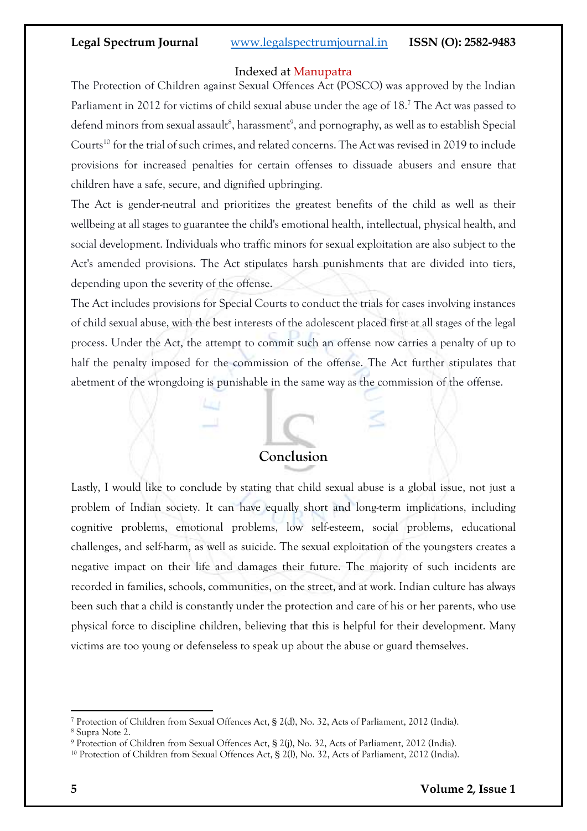### Indexed at Manupatra

The Protection of Children against Sexual Offences Act (POSCO) was approved by the Indian Parliament in 2012 for victims of child sexual abuse under the age of 18.<sup>7</sup> The Act was passed to defend minors from sexual assault<sup>8</sup>, harassment<sup>9</sup>, and pornography, as well as to establish Special Courts<sup>10</sup> for the trial of such crimes, and related concerns. The Act was revised in 2019 to include provisions for increased penalties for certain offenses to dissuade abusers and ensure that children have a safe, secure, and dignified upbringing.

The Act is gender-neutral and prioritizes the greatest benefits of the child as well as their wellbeing at all stages to guarantee the child's emotional health, intellectual, physical health, and social development. Individuals who traffic minors for sexual exploitation are also subject to the Act's amended provisions. The Act stipulates harsh punishments that are divided into tiers, depending upon the severity of the offense.

The Act includes provisions for Special Courts to conduct the trials for cases involving instances of child sexual abuse, with the best interests of the adolescent placed first at all stages of the legal process. Under the Act, the attempt to commit such an offense now carries a penalty of up to half the penalty imposed for the commission of the offense. The Act further stipulates that abetment of the wrongdoing is punishable in the same way as the commission of the offense.



Lastly, I would like to conclude by stating that child sexual abuse is a global issue, not just a problem of Indian society. It can have equally short and long-term implications, including cognitive problems, emotional problems, low self-esteem, social problems, educational challenges, and self-harm, as well as suicide. The sexual exploitation of the youngsters creates a negative impact on their life and damages their future. The majority of such incidents are recorded in families, schools, communities, on the street, and at work. Indian culture has always been such that a child is constantly under the protection and care of his or her parents, who use physical force to discipline children, believing that this is helpful for their development. Many victims are too young or defenseless to speak up about the abuse or guard themselves.

<sup>7</sup> Protection of Children from Sexual Offences Act, § 2(d), No. 32, Acts of Parliament, 2012 (India).

<sup>8</sup> Supra Note 2.

<sup>9</sup> Protection of Children from Sexual Offences Act, § 2(j), No. 32, Acts of Parliament, 2012 (India).

<sup>10</sup> Protection of Children from Sexual Offences Act, § 2(l), No. 32, Acts of Parliament, 2012 (India).